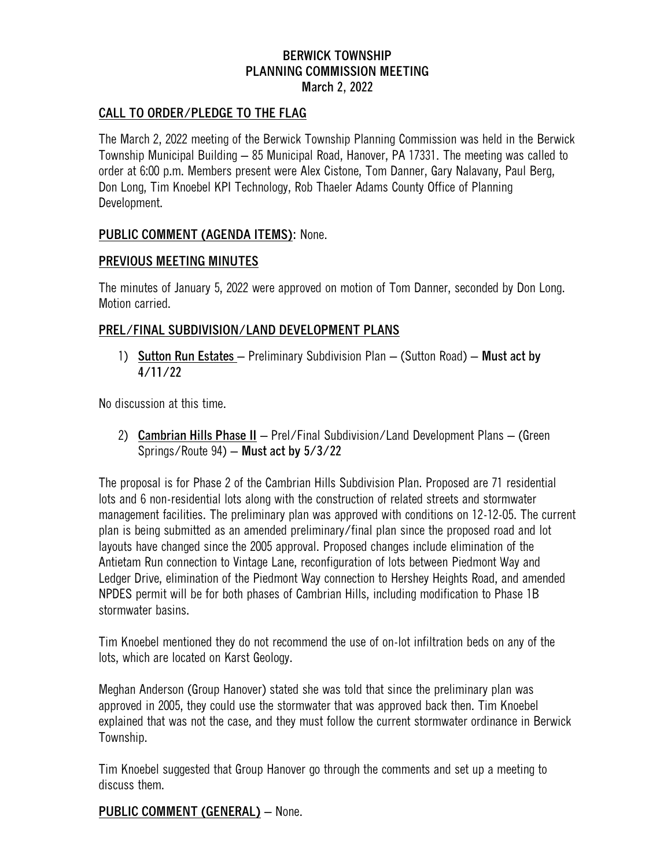## **BERWICK TOWNSHIP PLANNING COMMISSION MEETING March 2, 2022**

### **CALL TO ORDER/PLEDGE TO THE FLAG**

The March 2, 2022 meeting of the Berwick Township Planning Commission was held in the Berwick Township Municipal Building – 85 Municipal Road, Hanover, PA 17331. The meeting was called to order at 6:00 p.m. Members present were Alex Cistone, Tom Danner, Gary Nalavany, Paul Berg, Don Long, Tim Knoebel KPI Technology, Rob Thaeler Adams County Office of Planning Development.

#### **PUBLIC COMMENT (AGENDA ITEMS):** None.

#### **PREVIOUS MEETING MINUTES**

The minutes of January 5, 2022 were approved on motion of Tom Danner, seconded by Don Long. Motion carried.

### **PREL/FINAL SUBDIVISION/LAND DEVELOPMENT PLANS**

1) **Sutton Run Estates** – Preliminary Subdivision Plan – (Sutton Road) – **Must act by 4/11/22**

No discussion at this time.

2) **Cambrian Hills Phase II** – Prel/Final Subdivision/Land Development Plans – (Green Springs/Route 94) – **Must act by 5/3/22**

The proposal is for Phase 2 of the Cambrian Hills Subdivision Plan. Proposed are 71 residential lots and 6 non-residential lots along with the construction of related streets and stormwater management facilities. The preliminary plan was approved with conditions on 12-12-05. The current plan is being submitted as an amended preliminary/final plan since the proposed road and lot layouts have changed since the 2005 approval. Proposed changes include elimination of the Antietam Run connection to Vintage Lane, reconfiguration of lots between Piedmont Way and Ledger Drive, elimination of the Piedmont Way connection to Hershey Heights Road, and amended NPDES permit will be for both phases of Cambrian Hills, including modification to Phase 1B stormwater basins.

Tim Knoebel mentioned they do not recommend the use of on-lot infiltration beds on any of the lots, which are located on Karst Geology.

Meghan Anderson (Group Hanover) stated she was told that since the preliminary plan was approved in 2005, they could use the stormwater that was approved back then. Tim Knoebel explained that was not the case, and they must follow the current stormwater ordinance in Berwick Township.

Tim Knoebel suggested that Group Hanover go through the comments and set up a meeting to discuss them.

**PUBLIC COMMENT (GENERAL)** – None.